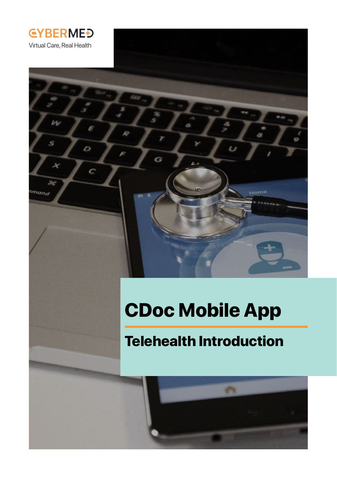

Virtual Care, Real Health

 $\iota$ 

 $\mathcal{R}$ mand

D

 $\epsilon$ 

CDoc Mobile App

Telehealth Introduction

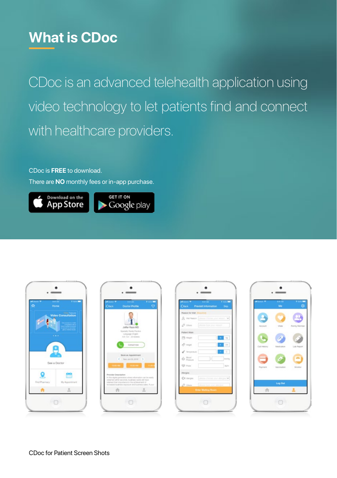# **What is CDoc**

CDoc is an advanced telehealth application using video technology to let patients find and connect with healthcare providers.

CDoc is **FREE** to download.

There are **NO** monthly fees or in-app purchase.









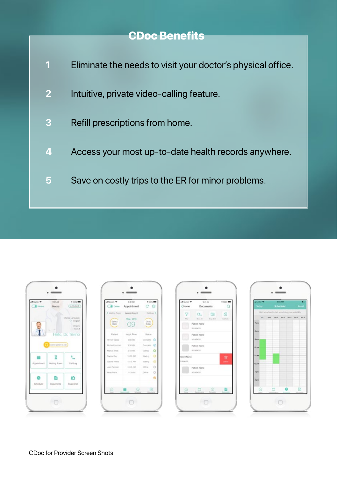## CDoc Benefits





| disant P<br>Online   | 9:41.KM<br>Appointment       | # rook =<br>œ<br>133 |
|----------------------|------------------------------|----------------------|
| C Vinting Room       | Appointment                  | Cuit.op >            |
| Select<br>Date       | Map. 2018                    | Go to<br>Today       |
| Patient              | Appt. Time                   | Distus               |
| Mainican Vitalitiez  | 9 DO AM                      | Concierá             |
| McNeal Lambert       | 9:30 AM                      | Complete             |
| <b>Martus Visits</b> | Q-AS AND                     | Calina               |
| Sophia Ray           | 10:00 AM                     | Holing<br>m.         |
| Gelman Wood          | 10:15.6M<br>an sa san        | EGWNY 1<br>- 5       |
| Juan Remind          | 1245 AM<br><b>CONTRACTOR</b> | Office               |
| <b>Fanish Friend</b> | 11 STORAGE                   | <b>Citizen</b>       |
|                      |                              | ż                    |
|                      | o                            |                      |